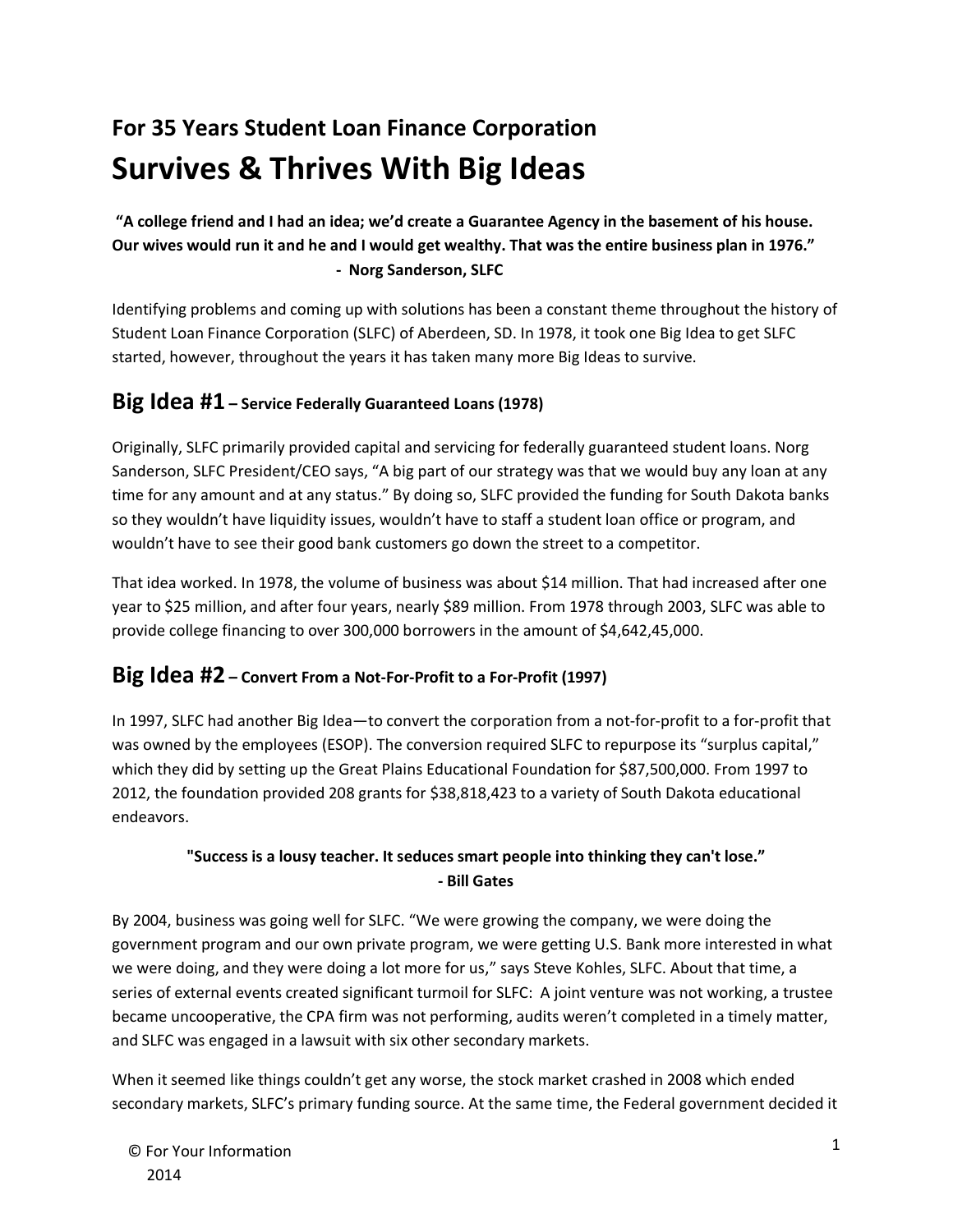# **For 35 Years Student Loan Finance Corporation Survives & Thrives With Big Ideas**

**"A college friend and I had an idea; we'd create a Guarantee Agency in the basement of his house. Our wives would run it and he and I would get wealthy. That was the entire business plan in 1976." - Norg Sanderson, SLFC**

Identifying problems and coming up with solutions has been a constant theme throughout the history of Student Loan Finance Corporation (SLFC) of Aberdeen, SD. In 1978, it took one Big Idea to get SLFC started, however, throughout the years it has taken many more Big Ideas to survive.

## **Big Idea #1 – Service Federally Guaranteed Loans (1978)**

Originally, SLFC primarily provided capital and servicing for federally guaranteed student loans. Norg Sanderson, SLFC President/CEO says, "A big part of our strategy was that we would buy any loan at any time for any amount and at any status." By doing so, SLFC provided the funding for South Dakota banks so they wouldn't have liquidity issues, wouldn't have to staff a student loan office or program, and wouldn't have to see their good bank customers go down the street to a competitor.

That idea worked. In 1978, the volume of business was about \$14 million. That had increased after one year to \$25 million, and after four years, nearly \$89 million. From 1978 through 2003, SLFC was able to provide college financing to over 300,000 borrowers in the amount of \$4,642,45,000.

## **Big Idea #2 – Convert From a Not-For-Profit to a For-Profit (1997)**

In 1997, SLFC had another Big Idea—to convert the corporation from a not-for-profit to a for-profit that was owned by the employees (ESOP). The conversion required SLFC to repurpose its "surplus capital," which they did by setting up the Great Plains Educational Foundation for \$87,500,000. From 1997 to 2012, the foundation provided 208 grants for \$38,818,423 to a variety of South Dakota educational endeavors.

#### **"Success is a lousy teacher. It seduces smart people into thinking they can't lose." - Bill Gates**

By 2004, business was going well for SLFC. "We were growing the company, we were doing the government program and our own private program, we were getting U.S. Bank more interested in what we were doing, and they were doing a lot more for us," says Steve Kohles, SLFC. About that time, a series of external events created significant turmoil for SLFC: A joint venture was not working, a trustee became uncooperative, the CPA firm was not performing, audits weren't completed in a timely matter, and SLFC was engaged in a lawsuit with six other secondary markets.

When it seemed like things couldn't get any worse, the stock market crashed in 2008 which ended secondary markets, SLFC's primary funding source. At the same time, the Federal government decided it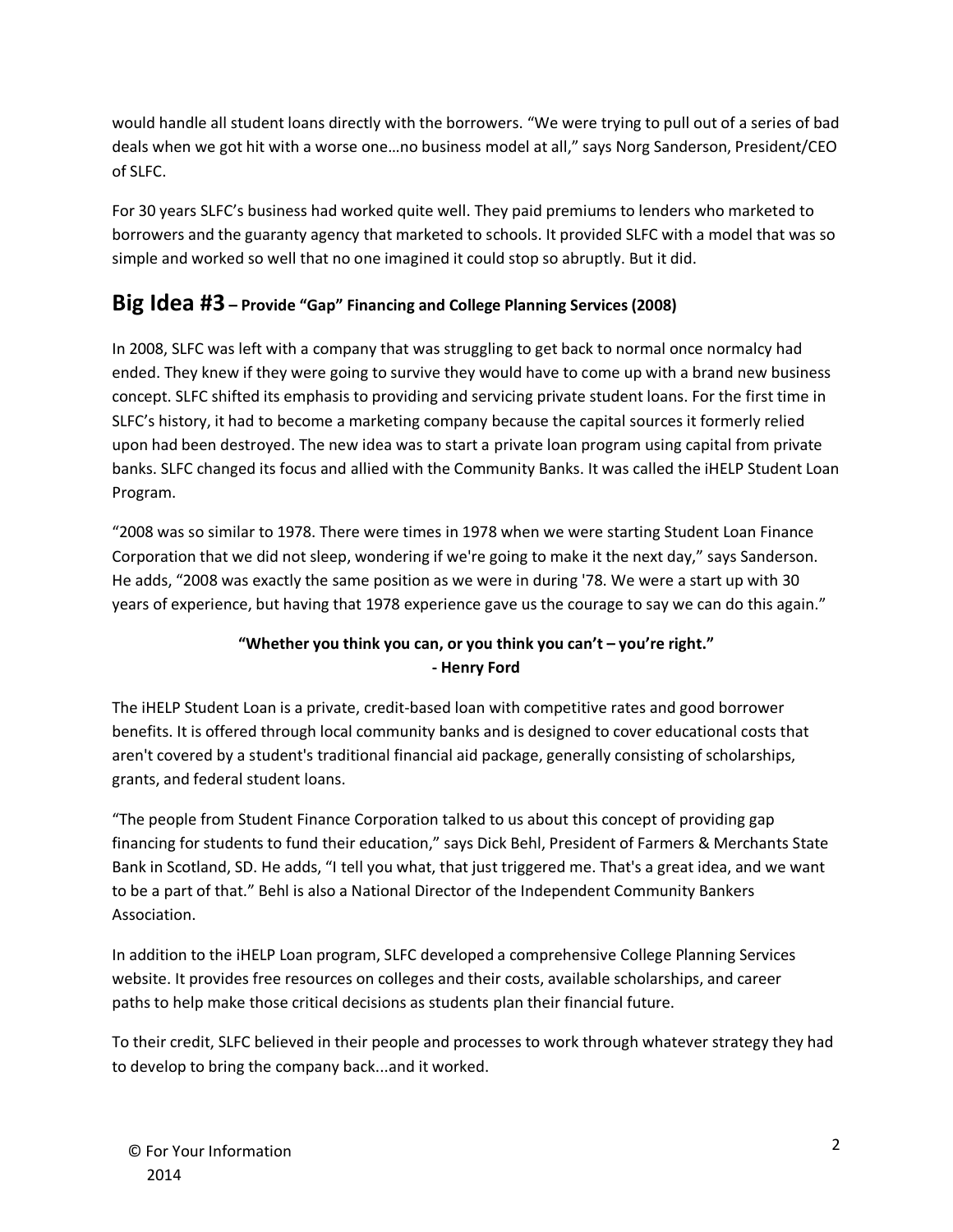would handle all student loans directly with the borrowers. "We were trying to pull out of a series of bad deals when we got hit with a worse one…no business model at all," says Norg Sanderson, President/CEO of SLFC.

For 30 years SLFC's business had worked quite well. They paid premiums to lenders who marketed to borrowers and the guaranty agency that marketed to schools. It provided SLFC with a model that was so simple and worked so well that no one imagined it could stop so abruptly. But it did.

## **Big Idea #3 – Provide "Gap" Financing and College Planning Services (2008)**

In 2008, SLFC was left with a company that was struggling to get back to normal once normalcy had ended. They knew if they were going to survive they would have to come up with a brand new business concept. SLFC shifted its emphasis to providing and servicing private student loans. For the first time in SLFC's history, it had to become a marketing company because the capital sources it formerly relied upon had been destroyed. The new idea was to start a private loan program using capital from private banks. SLFC changed its focus and allied with the Community Banks. It was called the iHELP Student Loan Program.

"2008 was so similar to 1978. There were times in 1978 when we were starting Student Loan Finance Corporation that we did not sleep, wondering if we're going to make it the next day," says Sanderson. He adds, "2008 was exactly the same position as we were in during '78. We were a start up with 30 years of experience, but having that 1978 experience gave us the courage to say we can do this again."

#### **"Whether you think you can, or you think you can't – you're right." - Henry Ford**

The iHELP Student Loan is a private, credit-based loan with competitive rates and good borrower benefits. It is offered through local community banks and is designed to cover educational costs that aren't covered by a student's traditional financial aid package, generally consisting of scholarships, grants, and federal student loans.

"The people from Student Finance Corporation talked to us about this concept of providing gap financing for students to fund their education," says Dick Behl, President of Farmers & Merchants State Bank in Scotland, SD. He adds, "I tell you what, that just triggered me. That's a great idea, and we want to be a part of that." Behl is also a National Director of the Independent Community Bankers Association.

In addition to the iHELP Loan program, SLFC developed a comprehensive College Planning Services website. It provides free resources on colleges and their costs, available scholarships, and career paths to help make those critical decisions as students plan their financial future.

To their credit, SLFC believed in their people and processes to work through whatever strategy they had to develop to bring the company back...and it worked.